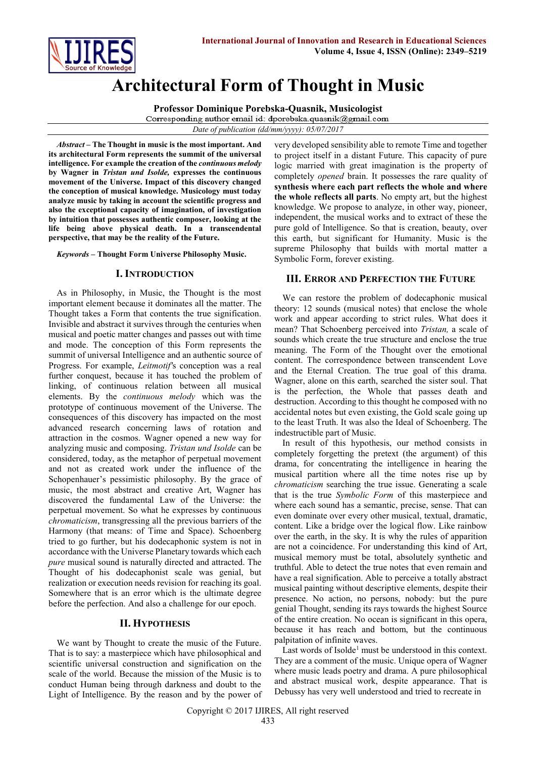

# **Architectural Form of Thought in Music**

**Professor Dominique Porebska-Quasnik, Musicologist** Corresponding author email id: dporebska.quasnik@gmail.com

*Date of publication (dd/mm/yyyy): 05/07/2017*

*Abstract* **– The Thought in music is the most important. And its architectural Form represents the summit of the universal intelligence. For example the creation of the** *continuous melody* **by Wagner in** *Tristan und Isolde,* **expresses the continuous movement of the Universe. Impact of this discovery changed the conception of musical knowledge. Musicology must today analyze music by taking in account the scientific progress and also the exceptional capacity of imagination, of investigation by intuition that possesses authentic composer, looking at the life being above physical death. In a transcendental perspective, that may be the reality of the Future.**

*Keywords* **– Thought Form Universe Philosophy Music.**

### **I. INTRODUCTION**

As in Philosophy, in Music, the Thought is the most important element because it dominates all the matter. The Thought takes a Form that contents the true signification. Invisible and abstract it survives through the centuries when musical and poetic matter changes and passes out with time and mode. The conception of this Form represents the summit of universal Intelligence and an authentic source of Progress. For example, *Leitmotif'*s conception was a real further conquest, because it has touched the problem of linking, of continuous relation between all musical elements. By the *continuous melody* which was the prototype of continuous movement of the Universe. The consequences of this discovery has impacted on the most advanced research concerning laws of rotation and attraction in the cosmos. Wagner opened a new way for analyzing music and composing. *Tristan und Isolde* can be considered, today, as the metaphor of perpetual movement and not as created work under the influence of the Schopenhauer's pessimistic philosophy. By the grace of music, the most abstract and creative Art, Wagner has discovered the fundamental Law of the Universe: the perpetual movement. So what he expresses by continuous *chromaticism*, transgressing all the previous barriers of the Harmony (that means: of Time and Space). Schoenberg tried to go further, but his dodecaphonic system is not in accordance with the Universe Planetary towards which each *pure* musical sound is naturally directed and attracted. The Thought of his dodecaphonist scale was genial, but realization or execution needs revision for reaching its goal. Somewhere that is an error which is the ultimate degree before the perfection. And also a challenge for our epoch.

#### **II. HYPOTHESIS**

We want by Thought to create the music of the Future. That is to say: a masterpiece which have philosophical and scientific universal construction and signification on the scale of the world. Because the mission of the Music is to conduct Human being through darkness and doubt to the Light of Intelligence. By the reason and by the power of very developed sensibility able to remote Time and together to project itself in a distant Future. This capacity of pure logic married with great imagination is the property of completely *opened* brain. It possesses the rare quality of **synthesis where each part reflects the whole and where the whole reflects all parts**. No empty art, but the highest knowledge. We propose to analyze, in other way, pioneer, independent, the musical works and to extract of these the pure gold of Intelligence. So that is creation, beauty, over this earth, but significant for Humanity. Music is the supreme Philosophy that builds with mortal matter a Symbolic Form, forever existing.

## **III. ERROR AND PERFECTION THE FUTURE**

We can restore the problem of dodecaphonic musical theory: 12 sounds (musical notes) that enclose the whole work and appear according to strict rules. What does it mean? That Schoenberg perceived into *Tristan,* a scale of sounds which create the true structure and enclose the true meaning. The Form of the Thought over the emotional content. The correspondence between transcendent Love and the Eternal Creation. The true goal of this drama. Wagner, alone on this earth, searched the sister soul. That is the perfection, the Whole that passes death and destruction. According to this thought he composed with no accidental notes but even existing, the Gold scale going up to the least Truth. It was also the Ideal of Schoenberg. The indestructible part of Music.

In result of this hypothesis, our method consists in completely forgetting the pretext (the argument) of this drama, for concentrating the intelligence in hearing the musical partition where all the time notes rise up by *chromaticism* searching the true issue. Generating a scale that is the true *Symbolic Form* of this masterpiece and where each sound has a semantic, precise, sense. That can even dominate over every other musical, textual, dramatic, content. Like a bridge over the logical flow. Like rainbow over the earth, in the sky. It is why the rules of apparition are not a coincidence. For understanding this kind of Art, musical memory must be total, absolutely synthetic and truthful. Able to detect the true notes that even remain and have a real signification. Able to perceive a totally abstract musical painting without descriptive elements, despite their presence. No action, no persons, nobody: but the pure genial Thought, sending its rays towards the highest Source of the entire creation. No ocean is significant in this opera, because it has reach and bottom, but the continuous palpitation of infinite waves.

Last words of Isolde<sup>1</sup> must be understood in this context. They are a comment of the music. Unique opera of Wagner where music leads poetry and drama. A pure philosophical and abstract musical work, despite appearance. That is Debussy has very well understood and tried to recreate in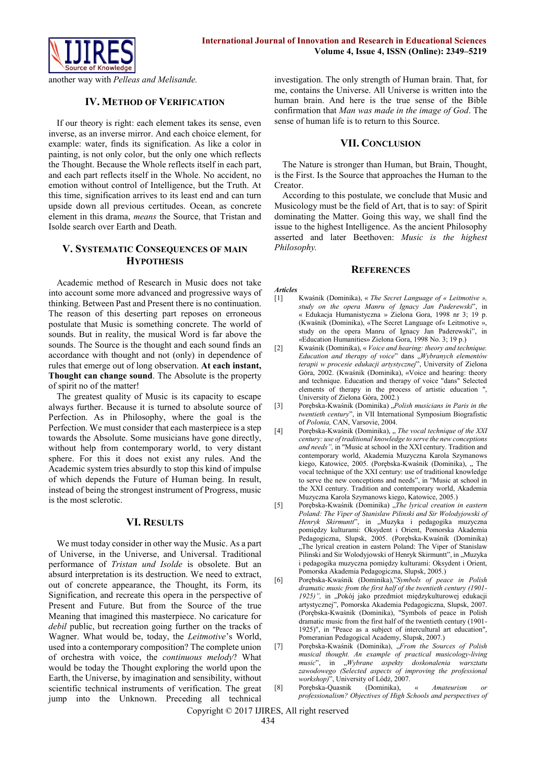

another way with *Pelleas and Melisande.*

### **IV. METHOD OF VERIFICATION**

If our theory is right: each element takes its sense, even inverse, as an inverse mirror. And each choice element, for example: water, finds its signification. As like a color in painting, is not only color, but the only one which reflects the Thought. Because the Whole reflects itself in each part, and each part reflects itself in the Whole. No accident, no emotion without control of Intelligence, but the Truth. At this time, signification arrives to its least end and can turn upside down all previous certitudes. Ocean, as concrete element in this drama, *means* the Source, that Tristan and Isolde search over Earth and Death.

## **V. SYSTEMATIC CONSEQUENCES OF MAIN HYPOTHESIS**

Academic method of Research in Music does not take into account some more advanced and progressive ways of thinking. Between Past and Present there is no continuation. The reason of this deserting part reposes on erroneous postulate that Music is something concrete. The world of sounds. But in reality, the musical Word is far above the sounds. The Source is the thought and each sound finds an accordance with thought and not (only) in dependence of rules that emerge out of long observation. **At each instant, Thought can change sound**. The Absolute is the property of spirit no of the matter!

The greatest quality of Music is its capacity to escape always further. Because it is turned to absolute source of Perfection. As in Philosophy, where the goal is the Perfection. We must consider that each masterpiece is a step towards the Absolute. Some musicians have gone directly, without help from contemporary world, to very distant sphere. For this it does not exist any rules. And the Academic system tries absurdly to stop this kind of impulse of which depends the Future of Human being. In result, instead of being the strongest instrument of Progress, music is the most sclerotic.

#### **VI. RESULTS**

We must today consider in other way the Music. As a part of Universe, in the Universe, and Universal. Traditional performance of *Tristan und Isolde* is obsolete. But an absurd interpretation is its destruction. We need to extract, out of concrete appearance, the Thought, its Form, its Signification, and recreate this opera in the perspective of Present and Future. But from the Source of the true Meaning that imagined this masterpiece. No caricature for *debil* public, but recreation going further on the tracks of Wagner. What would be, today, the *Leitmotive*'s World, used into a contemporary composition? The complete union of orchestra with voice, the *continuous melody*? What would be today the Thought exploring the world upon the Earth, the Universe, by imagination and sensibility, without scientific technical instruments of verification. The great jump into the Unknown. Preceding all technical

investigation. The only strength of Human brain. That, for me, contains the Universe. All Universe is written into the human brain. And here is the true sense of the Bible confirmation that *Man was made in the image of God*. The sense of human life is to return to this Source.

#### **VII. CONCLUSION**

The Nature is stronger than Human, but Brain, Thought, is the First. Is the Source that approaches the Human to the Creator.

According to this postulate, we conclude that Music and Musicology must be the field of Art, that is to say: of Spirit dominating the Matter. Going this way, we shall find the issue to the highest Intelligence. As the ancient Philosophy asserted and later Beethoven: *Music is the highest Philosophy.*

#### **REFERENCES**

#### *Articles*

- [1] Kwaśnik (Dominika), « *The Secret Language of « Leitmotive », study on the opera Manru of Ignacy Jan Paderewski*", in « Edukacja Humanistyczna » Zielona Gora, 1998 nr 3; 19 p. (Kwaśnik (Dominika), «The Secret Language of« Leitmotive », study on the opera Manru of Ignacy Jan Paderewski", in «Education Humanities» Zielona Gora, 1998 No. 3; 19 p.)
- [2] Kwaśnik (Dominika), « *Voice and hearing: theory and technique. Education and therapy of voice*" dans "*Wybranych elementów terapii w procesie edukacji artystycznej*", University of Zielona Góra, 2002. (Kwaśnik (Dominika), «Voice and hearing: theory and technique. Education and therapy of voice "dans" Selected elements of therapy in the process of artistic education ", University of Zielona Góra, 2002.)
- [3] Porębska-Kwaśnik (Dominika) "*Polish musicians in Paris in the twentieth century*", in VII International Symposium Biografistic of *Polonia,* CAN, Varsovie, 2004.
- [4] Porębska-Kwaśnik (Dominika), "*The vocal technique of the XXI century: use of traditional knowledge to serve the new conceptions and needs",* in "Music at school in the XXI century. Tradition and contemporary world, Akademia Muzyczna Karola Szymanows kiego, Katowice, 2005. (Porębska-Kwaśnik (Dominika), "The vocal technique of the XXI century: use of traditional knowledge to serve the new conceptions and needs", in "Music at school in the XXI century. Tradition and contemporary world, Akademia Muzyczna Karola Szymanows kiego, Katowice, 2005.)
- [5] Porębska-Kwaśnik (Dominika) "*The lyrical creation in eastern Poland: The Viper of Stanislaw Pilinski and Sir Wolodyjowski of*  Henryk Skirmuntt", in "Muzyka i pedagogika muzyczna pomiędzy kulturami: Oksydent i Orient, Pomorska Akademia Pedagogiczna, Slupsk, 2005. (Porębska-Kwaśnik (Dominika) "The lyrical creation in eastern Poland: The Viper of Stanislaw Pilinski and Sir Wolodyjowski of Henryk Skirmuntt", in "Muzyka i pedagogika muzyczna pomiędzy kulturami: Oksydent i Orient, Pomorska Akademia Pedagogiczna, Slupsk, 2005.)
- [6] Porębska-Kwaśnik (Dominika),"*Symbols of peace in Polish dramatic music from the first half of the twentieth century (1901- 1925)",* in "Pokój jako przedmiot międzykulturowej edukacji artystycznej", Pomorska Akademia Pedagogiczna, Slupsk, 2007. (Porębska-Kwaśnik (Dominika), "Symbols of peace in Polish dramatic music from the first half of the twentieth century (1901- 1925)", in "Peace as a subject of intercultural art education", Pomeranian Pedagogical Academy, Slupsk, 2007.)
- [7] Porębska-Kwaśnik (Dominika), "From the Sources of Polish *musical thought. An example of practical musicology-living music*", in "*Wybrane aspekty doskonalenia warsztatu zawodowego (Selected aspects of improving the professional workshop)*", University of Lódż, 2007.
- [8] Porębska-Quasnik (Dominika), « *Amateurism or professionalism? Objectives of High Schools and perspectives of*

Copyright © 2017 IJIRES, All right reserved